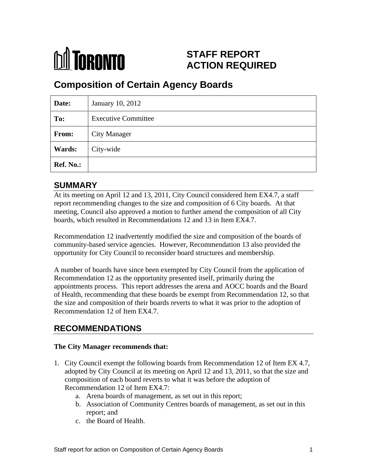

# **STAFF REPORT ACTION REQUIRED**

# **Composition of Certain Agency Boards**

| Date:     | January 10, 2012           |
|-----------|----------------------------|
| To:       | <b>Executive Committee</b> |
| From:     | City Manager               |
| Wards:    | City-wide                  |
| Ref. No.: |                            |

## **SUMMARY**

At its meeting on April 12 and 13, 2011, City Council considered Item EX4.7, a staff report recommending changes to the size and composition of 6 City boards. At that meeting, Council also approved a motion to further amend the composition of all City boards, which resulted in Recommendations 12 and 13 in Item EX4.7.

Recommendation 12 inadvertently modified the size and composition of the boards of community-based service agencies. However, Recommendation 13 also provided the opportunity for City Council to reconsider board structures and membership.

A number of boards have since been exempted by City Council from the application of Recommendation 12 as the opportunity presented itself, primarily during the appointments process. This report addresses the arena and AOCC boards and the Board of Health, recommending that these boards be exempt from Recommendation 12, so that the size and composition of their boards reverts to what it was prior to the adoption of Recommendation 12 of Item EX4.7.

# **RECOMMENDATIONS**

#### **The City Manager recommends that:**

- 1. City Council exempt the following boards from Recommendation 12 of Item EX 4.7, adopted by City Council at its meeting on April 12 and 13, 2011, so that the size and composition of each board reverts to what it was before the adoption of Recommendation 12 of Item EX4.7:
	- a. Arena boards of management, as set out in this report;
	- b. Association of Community Centres boards of management, as set out in this report; and
	- c. the Board of Health.